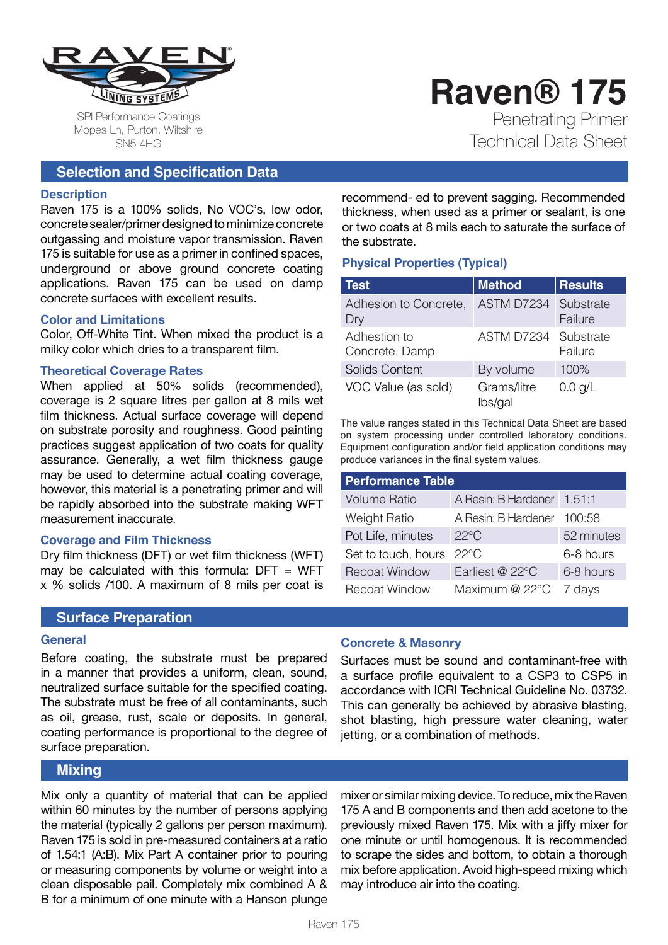

SPI Performance Coatings Mopes Ln, Purton, Wiltshire SN5 4HG

## **Selection and Specification Data**

#### **Description**

Raven 175 is a 100% solids, No VOC's, low odor, concrete sealer/primer designed to minimize concrete outgassing and moisture vapor transmission. Raven 175 is suitable for use as a primer in confined spaces, underground or above ground concrete coating applications. Raven 175 can be used on damp concrete surfaces with excellent results.

#### **Color and Limitations**

Color, Off-White Tint. When mixed the product is a milky color which dries to a transparent film.

#### **Theoretical Coverage Rates**

When applied at 50% solids (recommended), coverage is 2 square litres per gallon at 8 mils wet film thickness. Actual surface coverage will depend on substrate porosity and roughness. Good painting practices suggest application of two coats for quality assurance. Generally, a wet film thickness gauge may be used to determine actual coating coverage, however, this material is a penetrating primer and will be rapidly absorbed into the substrate making WFT measurement inaccurate.

#### **Coverage and Film Thickness**

Dry film thickness (DFT) or wet film thickness (WFT) may be calculated with this formula:  $DFT = WFT$ x % solids /100. A maximum of 8 mils per coat is

#### **Surface Preparation**

#### **General**

Before coating, the substrate must be prepared in a manner that provides a uniform, clean, sound, neutralized surface suitable for the specified coating. The substrate must be free of all contaminants, such as oil, grease, rust, scale or deposits. In general, coating performance is proportional to the degree of surface preparation.

# **Mixing**

Mix only a quantity of material that can be applied within 60 minutes by the number of persons applying the material (typically 2 gallons per person maximum). Raven 175 is sold in pre-measured containers at a ratio of 1.54:1 (A:B). Mix Part A container prior to pouring or measuring components by volume or weight into a clean disposable pail. Completely mix combined A & B for a minimum of one minute with a Hanson plunge

recommend- ed to prevent sagging. Recommended thickness, when used as a primer or sealant, is one or two coats at 8 mils each to saturate the surface of the substrate.

## **Physical Properties (Typical)**

| <b>Test</b>                    | <b>Method</b>          | <b>Results</b>       |
|--------------------------------|------------------------|----------------------|
| Adhesion to Concrete,<br>Dry   | ASTM D7234             | Substrate<br>Failure |
| Adhestion to<br>Concrete, Damp | ASTM D7234             | Substrate<br>Failure |
| <b>Solids Content</b>          | By volume              | 100%                 |
| VOC Value (as sold)            | Grams/litre<br>lbs/gal | $0.0$ g/L            |

The value ranges stated in this Technical Data Sheet are based on system processing under controlled laboratory conditions. Equipment configuration and/or field application conditions may produce variances in the final system values.

| <b>Performance Table</b> |                            |            |  |
|--------------------------|----------------------------|------------|--|
| <b>Volume Ratio</b>      | A Resin: B Hardener 1.51:1 |            |  |
| Weight Ratio             | A Resin: B Hardener 100:58 |            |  |
| Pot Life, minutes        | $22^{\circ}$ C             | 52 minutes |  |
| Set to touch, hours      | $22^{\circ}$ C             | 6-8 hours  |  |
| <b>Recoat Window</b>     | Earliest @ 22°C            | 6-8 hours  |  |
| <b>Recoat Window</b>     | Maximum @ 22°C             | 7 days     |  |

#### **Concrete & Masonry**

Surfaces must be sound and contaminant-free with a surface profile equivalent to a CSP3 to CSP5 in accordance with ICRI Technical Guideline No. 03732. This can generally be achieved by abrasive blasting, shot blasting, high pressure water cleaning, water jetting, or a combination of methods.

mixer or similar mixing device. To reduce, mix the Raven 175 A and B components and then add acetone to the previously mixed Raven 175. Mix with a jiffy mixer for one minute or until homogenous. It is recommended to scrape the sides and bottom, to obtain a thorough mix before application. Avoid high-speed mixing which may introduce air into the coating.

# **Raven® 175** Penetrating Primer Technical Data Sheet